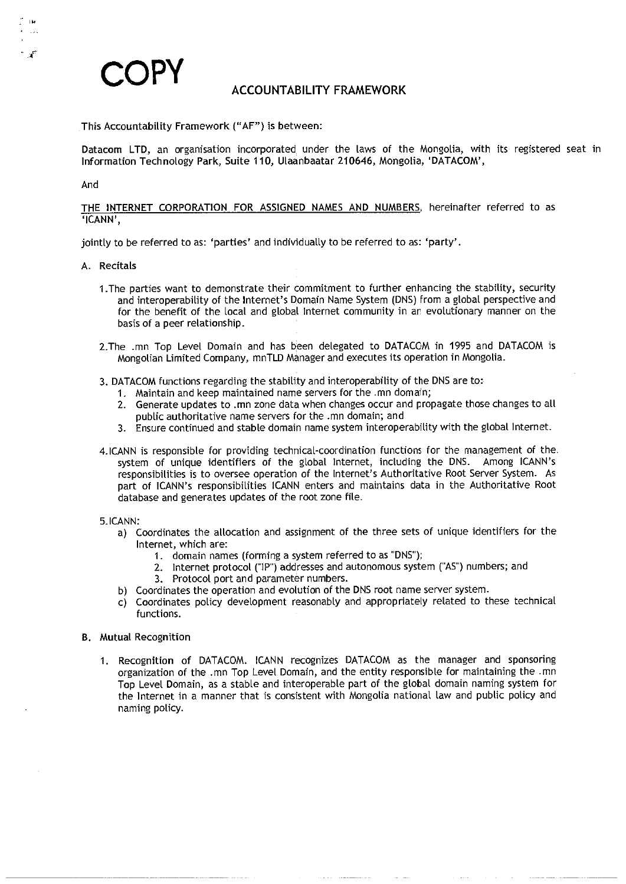

# This Accountability Framework ("AF") is between:

ACCOUNTABILITT FRAMEWORK<br>-<br>Datacom LTD, an organisation incorporated under the laws of the Mongolia, with its registered seat in Data<mark>com LTD,</mark> an organisation incorporated under the laws of the Mongolia, wit<br>Information Technology Park, Suite 110, Ulaanbaatar 210646, Mongolia, 'DATACOM',<br>And

Information Technology Park, Suite TTU, Utaanbaatar 210646, Mongona, DATACOM ,<br>And<br>THE INTERNET CORPORATION FOR ASSIGNED NAMES AND NUMBERS, hereinafter referred to a: <mark>THE INT</mark><br>'ICANN',

'ICANN',<br>jointly to be referred to as: 'parties' and individually to be referred to as: 'party'<br>A. Recitals

- ly to be referred to as: 'parties' and individually to be referred to as: 'party'.<br>Recitals<br>The parties want to demonstrate their commitment to further enhancing the stability, security and interoperability of the Internet tals<br>e parties want to demonstrate their commitment to further enhancing the stability, security<br>and interoperability of the Internet's Domain Name System (DNS) from a global perspective and<br>for the benefit of the local an and interoperability of the Internet's Domain Name System (DNS) from a global perspective and<br>for the benefit of the local and global Internet community in an evolutionary manner on the<br>basis of a peer relationship.<br>2.The
- 2. The .mn Top Level Domain and has been delegated to DATACOM in 1995 and DATACOM is<br>Mongolian Limited Company, mnTLD Manager and executes its operation in Mongolia.
- Mongolian Limited Company, mn ILD Manager and executes its operation in Mong<br>3. DATACOM functions regarding the stability and interoperability of the DNS are to:
	-
	- 1. Maintain and keep maintained name servers for the .mn domain;<br>1. Maintain and keep maintained name servers for the .mn domain;<br>2. Generate updates to .mn zone data when changes occur and propublic authoritative name ser 1. Maintain and keep maintained name servers for the .mn domain;<br>2. Generate updates to .mn zone data when changes occur and propagate those changes to all<br>public authoritative name servers for the .mn domain; and
	- 3. Ensure continued and stable domain name system interoperability with the global Internet.
- Bubic authoritative name servers for the limit domain, and<br>3. Ensure continued and stable domain name system interoperability with the global Internet.<br>4.ICANN is responsible for providing technical-coordination functions system of unique identifiers of the global Internet, including the DNS. Among ICANN's<br>responsibilities is to oversee operation of the Internet's Authoritative Root Server System. As<br>bart of ICANN's responsibilities ICANN responsibilities is to oversee operation or the interne<br>part of ICANN's responsibilities ICANN enters and i<br>database and generates updates of the root zone file. database and generates updates of the root zone file.<br>5.ICANN: part of ICANN's responsibilities ICANN enters and maintains data in the Authoritative Root<br>database and generates updates of the root zone file.<br>ANN:<br>a) Coordinates the allocation and assignment of the three sets of unique
- 
- Internet, which are: 2. Internet and assignment of the three sets of unique identifiers for the internet, which are:<br>Internet, which are: 2. Internet protocol ("IP") addresses and autonomous system ("AS") numbers; and<br>2. I
	- Internet, which are:<br>1. domain names (forming a system referred to as "DNS");
		- 2. Internet protocol ("IP") addresses and autonomous system ("AS") numbers; and 3. Protocol port and parameter numbers.
			-
	- b) Coordinates the operation and evolution of the DNS root name server system.
- 3. Protocol port and parameter numbers.<br>b) Coordinates the operation and evolution of the DNS root name server system.<br>c) Coordinates policy development reasonably and appropriately related to these technical Coordinat<br>Coordinat<br>functions. 1. Recognition of DATACOM. ICANN recognizes DATACOM as the manager and sponsoring<br>1. Recognition of DATACOM. ICANN recognizes DATACOM as the manager and sponsoring
- functions.<br>B. Mutual Recognition
	- ranchons.<br>ual Recognition<br>Recognition of DATACOM. ICANN recognizes DATACOM as the manager and sponsoring<br>organization of the .mn Top Level Domain, and the entity responsible for maintaining the .mn Recognition of DATACOM. ICANN recognizes DATACOM as the manager and sponsoring<br>organization of the .mn Top Level Domain, and the entity responsible for maintaining the .mn<br>Top Level Domain, as a stable and interoperable pa Recognition of DATACOM. ICANN recognizes DATACOM as the manager and sponsoring<br>organization of the .mn Top Level Domain, and the entity responsible for maintaining the .mr<br>Top Level Domain, as a stable and interoperable pa naming policy.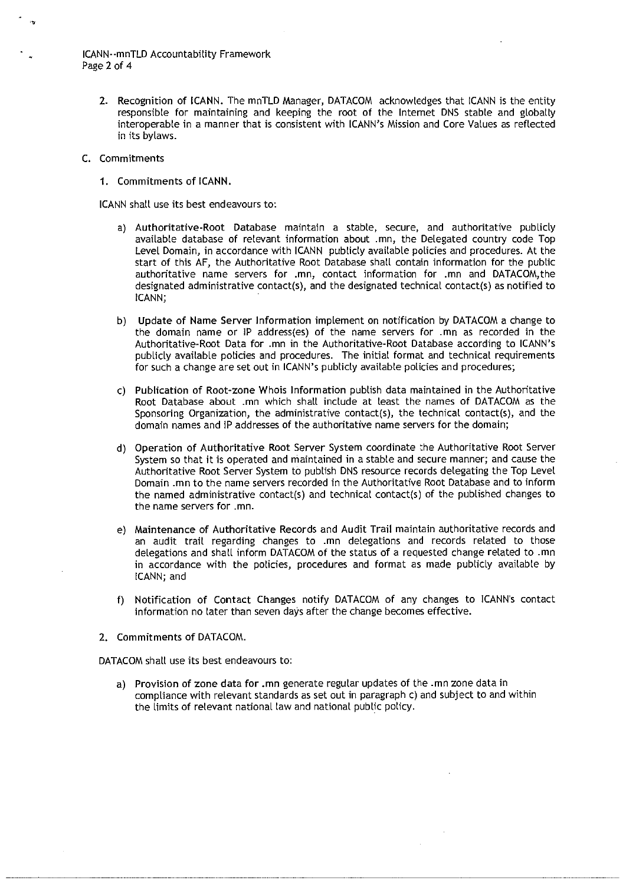**ICANN--mnTLD Accountability Framework**<br>ICANN--mnTLD Accountability Framework CANN--mn<br>Page 2 of 4

ומ--חוזו בט Accountability Framework<br>2 2 of 4 ב :<br>2. Recognition of ICANN. The mnTLD Manager, DATACOM acknowledges that ICANN is the entity responsible for maintaining and keeping the root of the Internet DNS stable and g Recognition of ICANN. The mnTLD Manager, DATACOM acknowledges that ICANN is the entity<br>responsible for maintaining and keeping the root of the Internet DNS stable and globally<br>interoperable in a manner that is consistent responsible for maintaining and keeping the root of the Internet DNS stable and globally interoperable in a manner that is consistent with ICANN's Mission and Core Values as reflected in its bylaws.

### C. Commitments

1. Commitments of ICANN.

ICANN shall use its best endeavours to:

- a) Authoritative-Root Database maintain a stable, secure, and authoritative publicly mitments of teams.<br>hall use its best endeavours to:<br>Authoritative-Root Database maintain a stable, secure, and authoritative publicly<br>available database of relevant information about .mn, the Delegated country code nall use its best endeavours to:<br>Authoritative-Root Database maintain a stable, secure, and authoritative publicly<br>available database of relevant information about .mn, the Delegated country code Top<br>Level Domain, in accor Authoritative-Root Database maintain a stable, secure, and authoritative publicly<br>available database of relevant information about .mn, the Delegated country code Top<br>Level Domain, in accordance with ICANN publicly availab available database of relevant information about .mn, the Delegated country code Top<br>Level Domain, in accordance with ICANN publicly available policies and procedures. At the<br>start of this AF, the Authoritative Root Databa authoritative name servers for .mn, contact information for .mn and DATACOM, the designated administrative contact(s), and the designated technical contact(s) as notified to ICANN; b) update of Name Servers for .mn, contact information for .mn and DATACOM, the designated administrative contact(s), and the designated technical contact(s) as notified to iCANN;<br>b) Update of Name Server Information imple
- ICANN;<br>Update of Name Server Information implement on notification by DATACOM a change to<br>the domain name or IP address(es) of the name servers for .mn as recorded in the<br>Authoritative-Root Data for .mn in the Authoritativ Update of Name Server Information implement on notification by DATACOM a change to<br>the domain name or IP address(es) of the name servers for .mn as recorded in the<br>Authoritative-Root Data for .mn in the Authoritative-Root Authoritative-Root Data for .mn in the Authoritative-Root Database according to<br>publicly available policies and procedures. The initial format and technical requ<br>for such a change are set out in ICANN's publicly available Extend the domain hand of it addits algo of the hand servers for this diversion in the Authoritative-Root Database according to ICANN's publicly available policies and procedures. The initial format and technical requireme Publicly available policies and procedures. The initial format and technical requirements<br>for such a change are set out in ICANN's publicly available policies and procedures;<br>Publication of Root-zone Whois Information publ
- For such a change are set out in ICANN's publicly available policies and procedures;<br>
c) Publication of Root-zone Whois Information publish data maintained in the Authoritative<br>
Root Database about .mn which shall include domain names and iP addresses of the authoritative name servers for the domain;<br>d) Operation of Authoritative Root Server System coordinate the Authoritative Root Server
- Root Database about .mn which shall include at least the names of DATACOM as the<br>Sponsoring Organization, the administrative contact(s), the technical contact(s), and the<br>domain names and IP addresses of the authoritative System so that it is operated and maintained in a stable and secure manner; and cause the Authoritative Root Server System to publish DNS resource records delegating the Top Level Domain .mn to the name servers recorded in Operation of Authoritative Root Server System coordinate the Authoritative Root Server<br>System so that it is operated and maintained in a stable and secure manner; and cause the<br>Authoritative Root Server System to publish D the named administrative contact(s) and technical contact(s) of the published changes to the name servers for .mn.
- e) Maintenance of Authoritative Records and Audit Trail maintain authoritative records and an audit trail regarding changes to .mn delegations and records related to those delegations and shall informations and shall informations and haintenance of Authoritative Records and Audit Trail maintain authoritative records and an audit trail regarding changes to .mn delegations and records related Maintenance of Authoritative Records and Audit Trail maintain authoritative records and<br>an audit trail regarding changes to .mn delegations and records related to those<br>delegations and shall inform DATACOM of the status of wanntenan<br>an audit<br>delegations<br>in accorda<br>CANN; and
- f) Notification of Contact Changes notify DATACOM of any changes to ICANNs contact .<br>Notification of Contact Changes notify DATACOM of any changes t<br>information no later than seven days after the change becomes effective. information no later than seven days after the change becomes effective.<br>2. Commitments of DATACOM.
- 

DATACOM shall use its best endeavours to:

Commitments of DATACOM.<br>ACOM shall use its best endeavours to:<br>a) Provision of zone data for .mn generate regular updates of the .mn zone data ir mand compliance with relevant of the mand in the standard with relevant standards as shall use its best endeavours to:<br>Provision of zone data for .mn generate regular updates of the .mn zone data in<br>compliance with relevan the limits of relevant national law and national public policy.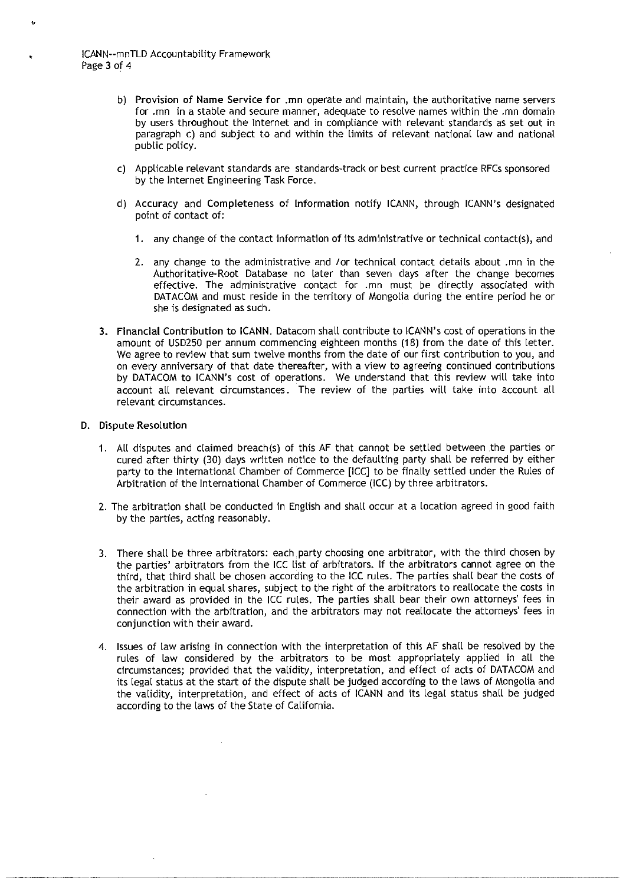|<br>|CANN--mnTLD Accountability Framework<br>| C<mark>AN</mark>N--mn<sup>-</sup><br>Page 3 of 4

- hnTLD Accountability Framework<br>f 4<br>) Provision of Name Service for .mn operate and maintain, the authoritative name servers<br>for .mn in a stable and secure manner, adequate to resolve names within the .mn domain Provision of Name Service for .mn operate and maintain, the authoritative name servers<br>'or .mn in a stable and secure manner, adequate to resolve names within the .mn domain<br>by users throughout the Internet and in complia paragraph c) and subject to and within the limits of relevant standards as set out in paragraph c) and subject to and within the limits of relevant national law and national public policy.<br>C) Applicable relevant standards paragraph c) and subject to and within the limits of relevant national law and national public policy.
- .<br>Applicable relevant standards are stan<br>by the Internet Engineering Task F<mark>o</mark>rce. public policy.<br>
c) Applicable relevant standards are standards-track or best current practice RFCs sponsored<br>
by the Internet Engineering Task Force.<br>
d) Accuracy and Completeness of Information notify ICANN, through ICANN
- point of completeness of Information notify ICANN, through ICANN's designated<br>point of contact of:<br>1. any change of the contact information of its administrative or technical contact(s), and
	- 2. point of contact of:<br>2. any change of the contact information of its administrative or technical contact (s), and<br>2. any change to the administrative and /or technical contact details about .mn in the
	- any change of the contact information of its administrative or technical contact(s), and<br>any change to the administrative and /or technical contact details about .mn in the<br>Authoritative-Root Database no later than seven d Authoritative-Root Database no later than seven days after the change becomes<br>effective. The administrative contact for .mn must be directly associated with<br>DATACOM and must reside in the territory of Mongolia during the e effective. The administrative contact for .mn must be directly associated with DATACOM and must reside in the territory of Mongolia during the entire period he or she is designated as such.
- 3. Financial Contribution to ICANN. Datacom shall contribute to ICANN's cost of operations in the -<br>F<mark>inancial Contribution to ICANN.</mark> Datacom shall contribute to ICANN's cost of operations in the<br>amount of USD250 per annum commencing eighteen months (18) from the date of this letter. She is designated as such.<br>Financial Contribution to ICANN. Datacom shall contribute to ICANN's cost of operations in the<br>amount of USD250 per annum commencing eighteen months (18) from the date of this letter<br>We agree to Financial Contribution to ICANN. Datacom shall contribute to ICANN's cost of operations in the<br>amount of USD250 per annum commencing eighteen months (18) from the date of this letter.<br>We agree to review that sum twelve mon by DATACOM to ICANN's cost of operations. We understand that this review will take into account all relevant circumstances. The review of the parties will take into account all relevant circumstances. account all relevant circumstances. The review of the parties will take into account all

## D. Dispute Resolution

- .<br>1. All disputes and claimed breach(s) of this AF that cannot be settled between the parties or<br>1. All disputes and claimed breach(s) of this AF that cannot be settled between the parties or ace kesolation<br>All disputes and claimed breach(s) of this AF that cannot be settled between the parties or<br>cured after thirty (30) days written notice to the defaulting party shall be referred by either party to the International Chamber of Commerce [ICC] to be finally settled under the parties or cured after thirty (30) days written notice to the defaulting party shall be referred by either party to the International Cha party to the International Chamber of Commerce [ICC] to be finally settled under the Rules of Arbitration of the International Chamber of Commerce (ICC) by three arbitrators.
- 2. The arbitration shall be conducted in English and shall occur at a location agreed in good faith by the parties, acting reasonably.
- 3. There shall be three arbitrators: each party choosing one arbitrator, with the third chosen by the arbitration shall be conducted in English and shall occur at a location agreed in good railingly the parties, acting reasonably.<br>There shall be three arbitrators: each party choosing one arbitrator, with the third chos There shall be three arbitrators: each party choosing one arbitrator, with the third chosen by<br>the parties' arbitrators from the ICC list of arbitrators. If the arbitrators cannot agree on the<br>third, that third shall be ch There shall be three arbitrators: each party choosing one arbitrator, with the third chosen by<br>the parties' arbitrators from the ICC list of arbitrators. If the arbitrators cannot agree on the<br>third, that third shall be ch There shall be three arbitrators: each party choosing one arbitrator, with the third chosen by<br>the parties' arbitrators from the ICC list of arbitrators. If the arbitrators cannot agree on the<br>third, that third shall be ch The parties' arbitrators from the ICC list of arbitrators. If the arbitrators cannot agree on the hird, that third shall be chosen according to the ICC rules. The parties shall bear the costs of the arbitration in equal sh their award as provided in the ICC rules. The parties shall bear their own attorneys' fees in connection with the arbitration, and the arbitrators may not reallocate the attorneys' fees in conjunction with their award.<br>Iss their award as provided in the ICC rules. The parties shall bear their own attorneys' fees in connection with the arbitration, and the arbitrators may not reallocate the attorneys' fees in conjunction with their award.<br>Iss
- conjunction with their award.<br>Issues of law arising in connection with the interpretation of this AF shall be resolved by the<br>rules of law considered by the arbitrators to be most appropriately applied in all the<br>circumsta its legal status at the status at the status at the status at the status of the rules of law considered by the arbitrators to be most appropriately applied in all the circumstances; provided that the validity, interpretati according to the laws of the State of California.